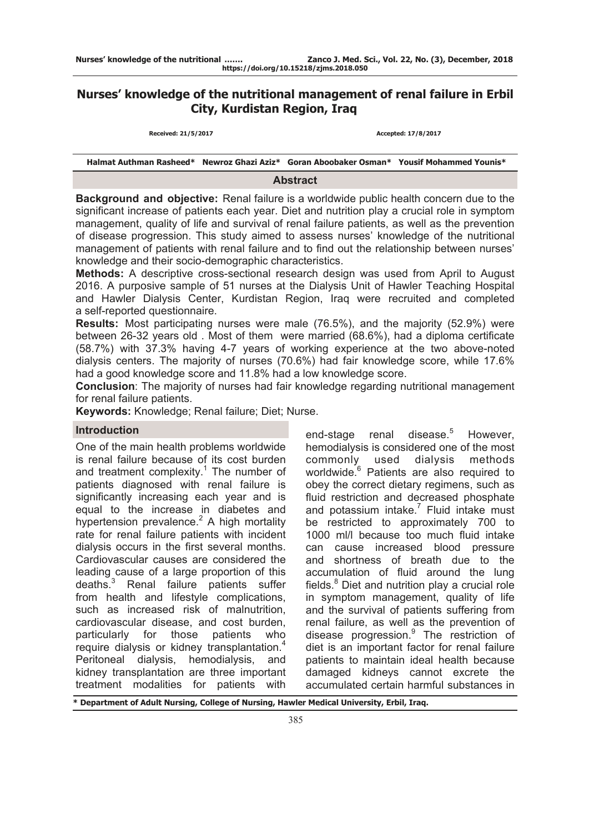# **Nurses' knowledge of the nutritional management of renal failure in Erbil City, Kurdistan Region, Iraq**

**Received: 21/5/2017 Accepted: 17/8/2017**

**Halmat Authman Rasheed\* Newroz Ghazi Aziz\* Goran Aboobaker Osman\* Yousif Mohammed Younis\***

### **Abstract**

**Background and objective:** Renal failure is a worldwide public health concern due to the significant increase of patients each year. Diet and nutrition play a crucial role in symptom management, quality of life and survival of renal failure patients, as well as the prevention of disease progression. This study aimed to assess nurses' knowledge of the nutritional management of patients with renal failure and to find out the relationship between nurses' knowledge and their socio-demographic characteristics.

**Methods:** A descriptive cross-sectional research design was used from April to August 2016. A purposive sample of 51 nurses at the Dialysis Unit of Hawler Teaching Hospital and Hawler Dialysis Center, Kurdistan Region, Iraq were recruited and completed a self-reported questionnaire.

**Results:** Most participating nurses were male (76.5%), and the majority (52.9%) were between 26-32 years old . Most of them were married (68.6%), had a diploma certificate (58.7%) with 37.3% having 4-7 years of working experience at the two above-noted dialysis centers. The majority of nurses (70.6%) had fair knowledge score, while 17.6% had a good knowledge score and 11.8% had a low knowledge score.

**Conclusion**: The majority of nurses had fair knowledge regarding nutritional management for renal failure patients.

**Keywords:** Knowledge; Renal failure; Diet; Nurse.

# **Introduction**

One of the main health problems worldwide is renal failure because of its cost burden and treatment complexity. $1$  The number of patients diagnosed with renal failure is significantly increasing each year and is equal to the increase in diabetes and hypertension prevalence. $2$  A high mortality rate for renal failure patients with incident dialysis occurs in the first several months. Cardiovascular causes are considered the leading cause of a large proportion of this deaths.<sup>3</sup> Renal failure patients suffer from health and lifestyle complications, such as increased risk of malnutrition, cardiovascular disease, and cost burden, particularly for those patients who require dialysis or kidney transplantation.<sup>4</sup> Peritoneal dialysis, hemodialysis, and kidney transplantation are three important treatment modalities for patients with

end-stage renal disease.<sup>5</sup> However, hemodialysis is considered one of the most commonly used dialysis methods worldwide.<sup>6</sup> Patients are also required to obey the correct dietary regimens, such as fluid restriction and decreased phosphate and potassium intake. $<sup>7</sup>$  Fluid intake must</sup> be restricted to approximately 700 to 1000 ml/l because too much fluid intake can cause increased blood pressure and shortness of breath due to the accumulation of fluid around the lung fields.<sup>8</sup> Diet and nutrition play a crucial role in symptom management, quality of life and the survival of patients suffering from renal failure, as well as the prevention of disease progression.<sup>9</sup> The restriction of diet is an important factor for renal failure patients to maintain ideal health because damaged kidneys cannot excrete the accumulated certain harmful substances in

**\* Department of Adult Nursing, College of Nursing, Hawler Medical University, Erbil, Iraq.**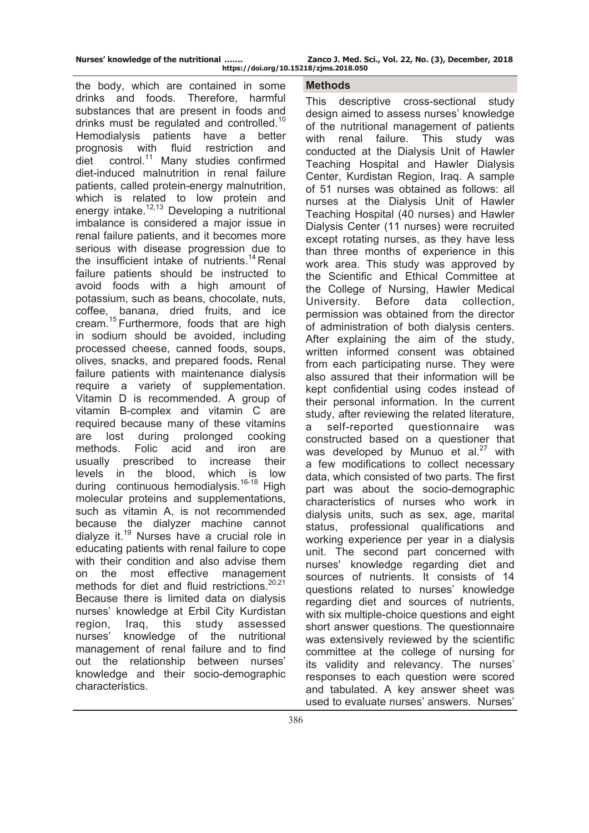the body, which are contained in some drinks and foods. Therefore, harmful substances that are present in foods and drinks must be regulated and controlled.<sup>10</sup> Hemodialysis patients have a better prognosis with fluid restriction and  $\det$  control.<sup>11</sup> Many studies confirmed diet-induced malnutrition in renal failure patients, called protein-energy malnutrition, which is related to low protein and energy intake.<sup>12,13</sup> Developing a nutritional imbalance is considered a major issue in renal failure patients, and it becomes more serious with disease progression due to the insufficient intake of nutrients.<sup>14</sup> Renal failure patients should be instructed to avoid foods with a high amount of potassium, such as beans, chocolate, nuts, coffee, banana, dried fruits, and ice cream.15 Furthermore, foods that are high in sodium should be avoided, including processed cheese, canned foods, soups, olives, snacks, and prepared foods*.* Renal failure patients with maintenance dialysis require a variety of supplementation. Vitamin D is recommended. A group of vitamin B-complex and vitamin C are required because many of these vitamins are lost during prolonged cooking methods. Folic acid and iron are usually prescribed to increase their levels in the blood, which is low during continuous hemodialysis.<sup>16-18</sup> High molecular proteins and supplementations, such as vitamin A, is not recommended because the dialyzer machine cannot dialyze it.19 Nurses have a crucial role in educating patients with renal failure to cope with their condition and also advise them on the most effective management methods for diet and fluid restrictions.<sup>20,21</sup> Because there is limited data on dialysis nurses' knowledge at Erbil City Kurdistan region, Iraq, this study assessed nurses' knowledge of the nutritional management of renal failure and to find out the relationship between nurses' knowledge and their socio-demographic characteristics.

#### **Methods**

This descriptive cross-sectional study design aimed to assess nurses' knowledge of the nutritional management of patients with renal failure. This study was conducted at the Dialysis Unit of Hawler Teaching Hospital and Hawler Dialysis Center, Kurdistan Region, Iraq. A sample of 51 nurses was obtained as follows: all nurses at the Dialysis Unit of Hawler Teaching Hospital (40 nurses) and Hawler Dialysis Center (11 nurses) were recruited except rotating nurses, as they have less than three months of experience in this work area. This study was approved by the Scientific and Ethical Committee at the College of Nursing, Hawler Medical University. Before data collection, permission was obtained from the director of administration of both dialysis centers. After explaining the aim of the study, written informed consent was obtained from each participating nurse. They were also assured that their information will be kept confidential using codes instead of their personal information. In the current study, after reviewing the related literature, a self-reported questionnaire was constructed based on a questioner that was developed by Munuo et al.<sup>27</sup> with a few modifications to collect necessary data, which consisted of two parts. The first part was about the socio-demographic characteristics of nurses who work in dialysis units, such as sex, age, marital status, professional qualifications and working experience per year in a dialysis unit. The second part concerned with nurses' knowledge regarding diet and sources of nutrients. It consists of 14 questions related to nurses' knowledge regarding diet and sources of nutrients, with six multiple-choice questions and eight short answer questions. The questionnaire was extensively reviewed by the scientific committee at the college of nursing for its validity and relevancy. The nurses' responses to each question were scored and tabulated. A key answer sheet was used to evaluate nurses' answers. Nurses'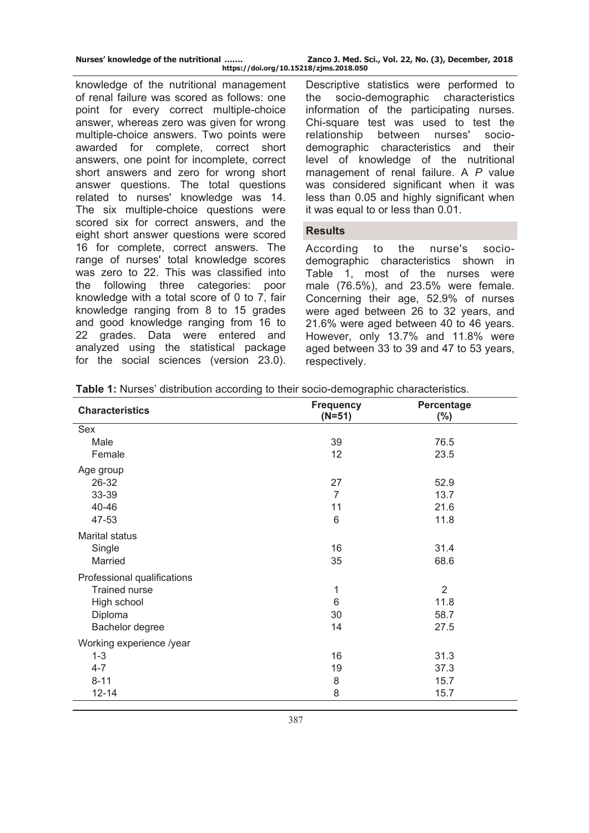knowledge of the nutritional management of renal failure was scored as follows: one point for every correct multiple-choice answer, whereas zero was given for wrong multiple-choice answers. Two points were awarded for complete, correct short answers, one point for incomplete, correct short answers and zero for wrong short answer questions. The total questions related to nurses' knowledge was 14. The six multiple-choice questions were scored six for correct answers, and the eight short answer questions were scored 16 for complete, correct answers. The range of nurses' total knowledge scores was zero to 22. This was classified into the following three categories: poor knowledge with a total score of 0 to 7, fair knowledge ranging from 8 to 15 grades and good knowledge ranging from 16 to 22 grades. Data were entered and analyzed using the statistical package for the social sciences (version 23.0).

Descriptive statistics were performed to the socio-demographic characteristics information of the participating nurses. Chi-square test was used to test the relationship between nurses' sociodemographic characteristics and their level of knowledge of the nutritional management of renal failure. A *P* value was considered significant when it was less than 0.05 and highly significant when it was equal to or less than 0.01.

### **Results**

According to the nurse's sociodemographic characteristics shown in Table 1, most of the nurses were male (76.5%), and 23.5% were female. Concerning their age, 52.9% of nurses were aged between 26 to 32 years, and 21.6% were aged between 40 to 46 years. However, only 13.7% and 11.8% were aged between 33 to 39 and 47 to 53 years, respectively.

|  |  |  | <b>Table 1:</b> Nurses' distribution according to their socio-demographic characteristics. |
|--|--|--|--------------------------------------------------------------------------------------------|
|  |  |  |                                                                                            |

| <b>Characteristics</b>      | <b>Frequency</b><br>$(N=51)$ | Percentage<br>$(\%)$ |
|-----------------------------|------------------------------|----------------------|
| Sex                         |                              |                      |
| Male                        | 39                           | 76.5                 |
| Female                      | 12                           | 23.5                 |
| Age group                   |                              |                      |
| 26-32                       | 27                           | 52.9                 |
| 33-39                       | $\overline{7}$               | 13.7                 |
| 40-46                       | 11                           | 21.6                 |
| 47-53                       | 6                            | 11.8                 |
| Marital status              |                              |                      |
| Single                      | 16                           | 31.4                 |
| Married                     | 35                           | 68.6                 |
| Professional qualifications |                              |                      |
| <b>Trained nurse</b>        | 1                            | $\overline{2}$       |
| High school                 | $6\phantom{1}6$              | 11.8                 |
| Diploma                     | 30                           | 58.7                 |
| Bachelor degree             | 14                           | 27.5                 |
| Working experience /year    |                              |                      |
| $1 - 3$                     | 16                           | 31.3                 |
| $4 - 7$                     | 19                           | 37.3                 |
| $8 - 11$                    | $\,8\,$                      | 15.7                 |
| $12 - 14$                   | 8                            | 15.7                 |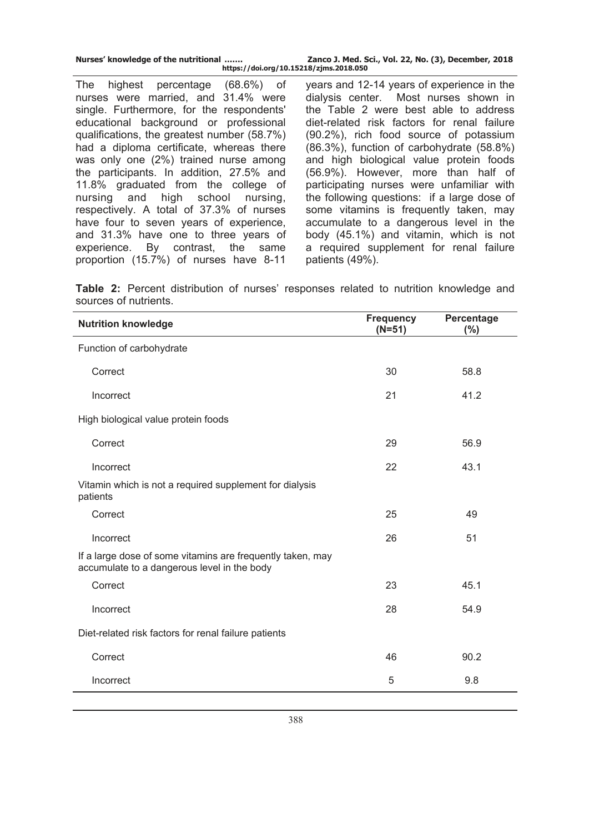| Nurses' knowledge of the nutritional |  |  |
|--------------------------------------|--|--|
|                                      |  |  |

The highest percentage (68.6%) of nurses were married, and 31.4% were single. Furthermore, for the respondents' educational background or professional qualifications, the greatest number (58.7%) had a diploma certificate, whereas there was only one (2%) trained nurse among the participants. In addition, 27.5% and 11.8% graduated from the college of nursing and high school nursing, respectively. A total of 37.3% of nurses have four to seven years of experience, and 31.3% have one to three years of experience. By contrast, the same proportion (15.7%) of nurses have 8-11

years and 12-14 years of experience in the dialysis center. Most nurses shown in the Table 2 were best able to address diet-related risk factors for renal failure (90.2%), rich food source of potassium (86.3%), function of carbohydrate (58.8%) and high biological value protein foods (56.9%). However, more than half of participating nurses were unfamiliar with the following questions: if a large dose of some vitamins is frequently taken, may accumulate to a dangerous level in the body (45.1%) and vitamin, which is not a required supplement for renal failure patients (49%).

**Table 2:** Percent distribution of nurses' responses related to nutrition knowledge and sources of nutrients.

| <b>Nutrition knowledge</b>                                                                                | <b>Frequency</b><br>$(N=51)$ | Percentage<br>$(\% )$ |
|-----------------------------------------------------------------------------------------------------------|------------------------------|-----------------------|
| Function of carbohydrate                                                                                  |                              |                       |
| Correct                                                                                                   | 30                           | 58.8                  |
| Incorrect                                                                                                 | 21                           | 41.2                  |
| High biological value protein foods                                                                       |                              |                       |
| Correct                                                                                                   | 29                           | 56.9                  |
| Incorrect                                                                                                 | 22                           | 43.1                  |
| Vitamin which is not a required supplement for dialysis<br>patients                                       |                              |                       |
| Correct                                                                                                   | 25                           | 49                    |
| Incorrect                                                                                                 | 26                           | 51                    |
| If a large dose of some vitamins are frequently taken, may<br>accumulate to a dangerous level in the body |                              |                       |
| Correct                                                                                                   | 23                           | 45.1                  |
| Incorrect                                                                                                 | 28                           | 54.9                  |
| Diet-related risk factors for renal failure patients                                                      |                              |                       |
| Correct                                                                                                   | 46                           | 90.2                  |
| Incorrect                                                                                                 | 5                            | 9.8                   |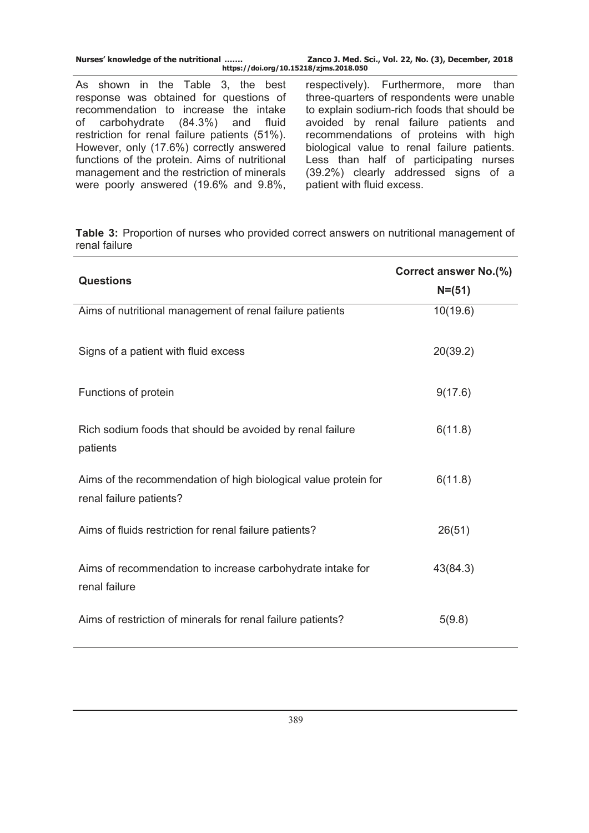| Nurses' knowledge of the nutritional<br>https://doi.org/10.15218/zjms.2018.050                                                                                                                                                                                                                                                                        | Zanco J. Med. Sci., Vol. 22, No. (3), December, 2018                                                                                                                                                                                                                                                                                                 |
|-------------------------------------------------------------------------------------------------------------------------------------------------------------------------------------------------------------------------------------------------------------------------------------------------------------------------------------------------------|------------------------------------------------------------------------------------------------------------------------------------------------------------------------------------------------------------------------------------------------------------------------------------------------------------------------------------------------------|
| As shown in the Table 3, the best<br>response was obtained for questions of<br>recommendation to increase the intake<br>of carbohydrate (84.3%) and fluid<br>restriction for renal failure patients (51%).<br>However, only (17.6%) correctly answered<br>functions of the protein. Aims of nutritional<br>management and the restriction of minerals | respectively). Furthermore, more than<br>three-quarters of respondents were unable<br>to explain sodium-rich foods that should be<br>avoided by renal failure patients and<br>recommendations of proteins with high<br>biological value to renal failure patients.<br>Less than half of participating nurses<br>(39.2%) clearly addressed signs of a |
| were poorly answered (19.6% and 9.8%,                                                                                                                                                                                                                                                                                                                 | patient with fluid excess.                                                                                                                                                                                                                                                                                                                           |

**Table 3:** Proportion of nurses who provided correct answers on nutritional management of renal failure

| <b>Questions</b>                                                                           | Correct answer No.(%)<br>$N = (51)$ |
|--------------------------------------------------------------------------------------------|-------------------------------------|
| Aims of nutritional management of renal failure patients                                   | 10(19.6)                            |
| Signs of a patient with fluid excess                                                       | 20(39.2)                            |
| Functions of protein                                                                       | 9(17.6)                             |
| Rich sodium foods that should be avoided by renal failure<br>patients                      | 6(11.8)                             |
| Aims of the recommendation of high biological value protein for<br>renal failure patients? | 6(11.8)                             |
| Aims of fluids restriction for renal failure patients?                                     | 26(51)                              |
| Aims of recommendation to increase carbohydrate intake for<br>renal failure                | 43(84.3)                            |
| Aims of restriction of minerals for renal failure patients?                                | 5(9.8)                              |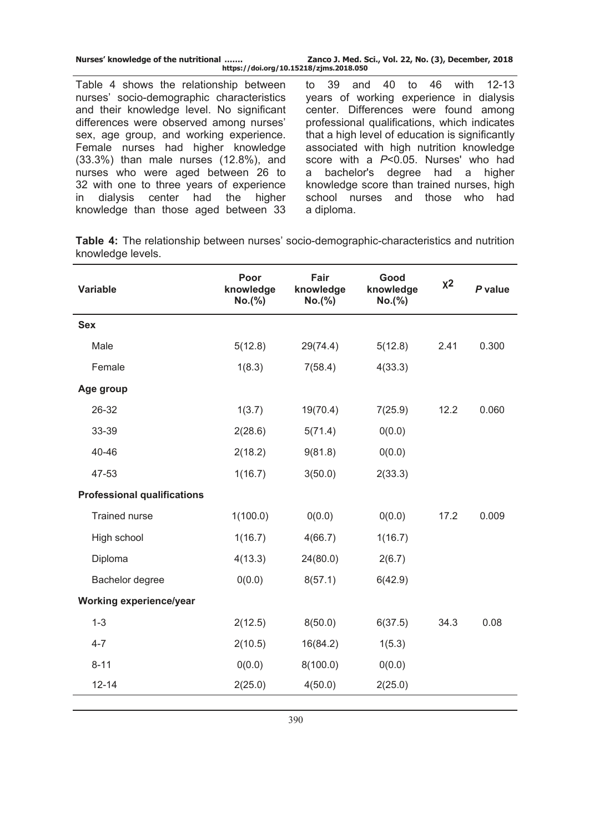| Nurses' knowledge of the nutritional<br>https://doi.org/10.15218/zjms.2018.050 | Zanco J. Med. Sci., Vol. 22, No. (3), December, 2018 |
|--------------------------------------------------------------------------------|------------------------------------------------------|
| Table 4 shows the relationship between                                         | to 39 and 40 to 46 with 12-13                        |
| nurses' socio-demographic characteristics                                      | years of working experience in dialysis              |
| and their knowledge level. No significant                                      | center. Differences were found among                 |
| differences were observed among nurses'                                        | professional qualifications, which indicates         |
| sex, age group, and working experience.                                        | that a high level of education is significantly      |
| Female nurses had higher knowledge                                             | associated with high nutrition knowledge             |
| $(33.3\%)$ than male nurses $(12.8\%)$ , and                                   | score with a P<0.05. Nurses' who had                 |
| nurses who were aged between 26 to                                             | a bachelor's degree had a higher                     |
| 32 with one to three years of experience                                       | knowledge score than trained nurses, high            |
| in dialysis center had the higher                                              | school nurses and those who had                      |

**Table 4:** The relationship between nurses' socio-demographic-characteristics and nutrition knowledge levels.

a diploma.

knowledge than those aged between 33

| <b>Variable</b>                    | Poor<br>knowledge<br>No.(%) | Fair<br>knowledge<br>No.(%) | Good<br>knowledge<br>No.(%) | $x^2$ | P value |
|------------------------------------|-----------------------------|-----------------------------|-----------------------------|-------|---------|
| <b>Sex</b>                         |                             |                             |                             |       |         |
| Male                               | 5(12.8)                     | 29(74.4)                    | 5(12.8)                     | 2.41  | 0.300   |
| Female                             | 1(8.3)                      | 7(58.4)                     | 4(33.3)                     |       |         |
| Age group                          |                             |                             |                             |       |         |
| 26-32                              | 1(3.7)                      | 19(70.4)                    | 7(25.9)                     | 12.2  | 0.060   |
| 33-39                              | 2(28.6)                     | 5(71.4)                     | 0(0.0)                      |       |         |
| 40-46                              | 2(18.2)                     | 9(81.8)                     | 0(0.0)                      |       |         |
| 47-53                              | 1(16.7)                     | 3(50.0)                     | 2(33.3)                     |       |         |
| <b>Professional qualifications</b> |                             |                             |                             |       |         |
| <b>Trained nurse</b>               | 1(100.0)                    | 0(0.0)                      | 0(0.0)                      | 17.2  | 0.009   |
| High school                        | 1(16.7)                     | 4(66.7)                     | 1(16.7)                     |       |         |
| Diploma                            | 4(13.3)                     | 24(80.0)                    | 2(6.7)                      |       |         |
| Bachelor degree                    | 0(0.0)                      | 8(57.1)                     | 6(42.9)                     |       |         |
| Working experience/year            |                             |                             |                             |       |         |
| $1 - 3$                            | 2(12.5)                     | 8(50.0)                     | 6(37.5)                     | 34.3  | 0.08    |
| $4 - 7$                            | 2(10.5)                     | 16(84.2)                    | 1(5.3)                      |       |         |
| $8 - 11$                           | 0(0.0)                      | 8(100.0)                    | 0(0.0)                      |       |         |
| $12 - 14$                          | 2(25.0)                     | 4(50.0)                     | 2(25.0)                     |       |         |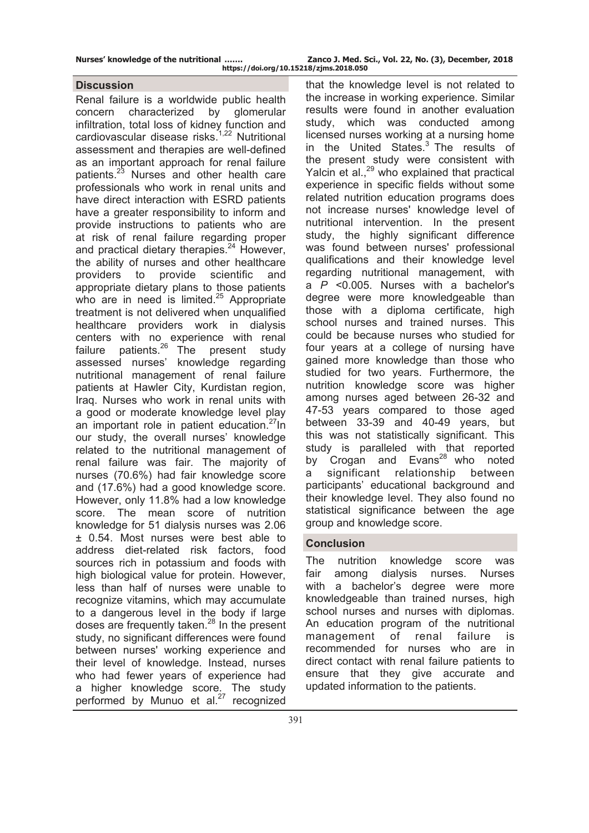#### **Discussion**

Renal failure is a worldwide public health concern characterized by glomerular infiltration, total loss of kidney function and cardiovascular disease risks.<sup>1,22</sup> Nutritional assessment and therapies are well-defined as an important approach for renal failure patients.<sup>23</sup> Nurses and other health care professionals who work in renal units and have direct interaction with ESRD patients have a greater responsibility to inform and provide instructions to patients who are at risk of renal failure regarding proper and practical dietary therapies.<sup>24</sup> However, the ability of nurses and other healthcare providers to provide scientific and appropriate dietary plans to those patients who are in need is limited.<sup>25</sup> Appropriate treatment is not delivered when unqualified healthcare providers work in dialysis centers with no experience with renal failure patients.<sup>26</sup> The present study assessed nurses' knowledge regarding nutritional management of renal failure patients at Hawler City, Kurdistan region, Iraq. Nurses who work in renal units with a good or moderate knowledge level play an important role in patient education. $27 \text{ln}$ our study, the overall nurses' knowledge related to the nutritional management of renal failure was fair. The majority of nurses (70.6%) had fair knowledge score and (17.6%) had a good knowledge score. However, only 11.8% had a low knowledge score. The mean score of nutrition knowledge for 51 dialysis nurses was 2.06 ± 0.54. Most nurses were best able to address diet-related risk factors, food sources rich in potassium and foods with high biological value for protein. However, less than half of nurses were unable to recognize vitamins, which may accumulate to a dangerous level in the body if large doses are frequently taken.<sup>28</sup> In the present study, no significant differences were found between nurses' working experience and their level of knowledge. Instead, nurses who had fewer years of experience had a higher knowledge score. The study performed by Munuo et al.<sup>27</sup> recognized

that the knowledge level is not related to the increase in working experience. Similar results were found in another evaluation study, which was conducted among licensed nurses working at a nursing home in the United States. $3$  The results of the present study were consistent with Yalcin et al.,<sup>29</sup> who explained that practical experience in specific fields without some related nutrition education programs does not increase nurses' knowledge level of nutritional intervention. In the present study, the highly significant difference was found between nurses' professional qualifications and their knowledge level regarding nutritional management, with a *P* <0.005. Nurses with a bachelor's degree were more knowledgeable than those with a diploma certificate, high school nurses and trained nurses. This could be because nurses who studied for four years at a college of nursing have gained more knowledge than those who studied for two years. Furthermore, the nutrition knowledge score was higher among nurses aged between 26-32 and 47-53 years compared to those aged between 33-39 and 40-49 years, but this was not statistically significant. This study is paralleled with that reported by Crogan and Evans $^{28}$  who noted a significant relationship between participants' educational background and their knowledge level. They also found no statistical significance between the age group and knowledge score.

# **Conclusion**

The nutrition knowledge score was fair among dialysis nurses. Nurses with a bachelor's degree were more knowledgeable than trained nurses, high school nurses and nurses with diplomas. An education program of the nutritional management of renal failure is recommended for nurses who are in direct contact with renal failure patients to ensure that they give accurate and updated information to the patients.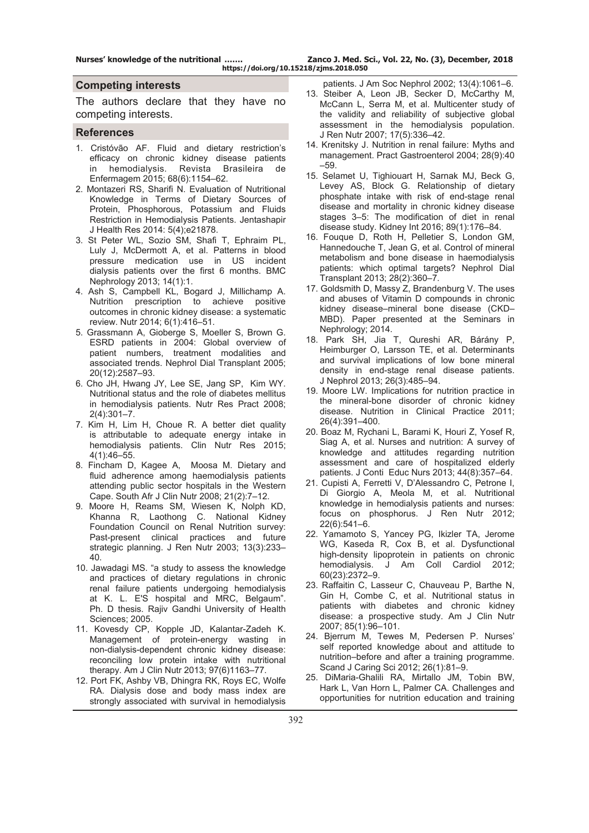**Nurses' knowledge of the nutritional ……. Zanco J. Med. Sci., Vol. 22, No. (3), December, 2018 https://doi.org/10.15218/zjms.2018.050**

#### **Competing interests**

The authors declare that they have no competing interests.

#### **References**

- 1. Cristóvão AF. Fluid and dietary restriction's efficacy on chronic kidney disease patients in hemodialysis. Revista Brasileira de Enfermagem 2015; 68(6):1154–62.
- 2. Montazeri RS, Sharifi N. Evaluation of Nutritional Knowledge in Terms of Dietary Sources of Protein, Phosphorous, Potassium and Fluids Restriction in Hemodialysis Patients. Jentashapir J Health Res 2014: 5(4);e21878.
- 3. St Peter WL, Sozio SM, Shafi T, Ephraim PL, Luly J, McDermott A, et al. Patterns in blood pressure medication use in US incident dialysis patients over the first 6 months. BMC Nephrology 2013; 14(1):1.
- 4. Ash S, Campbell KL, Bogard J, Millichamp A. Nutrition prescription to achieve positive outcomes in chronic kidney disease: a systematic review. Nutr 2014; 6(1):416–51.
- 5. Grassmann A, Gioberge S, Moeller S, Brown G. ESRD patients in 2004: Global overview of patient numbers, treatment modalities and associated trends. Nephrol Dial Transplant 2005; 20(12):2587–93.
- 6. Cho JH, Hwang JY, Lee SE, Jang SP, Kim WY. Nutritional status and the role of diabetes mellitus in hemodialysis patients. Nutr Res Pract 2008; 2(4):301–7.
- 7. Kim H, Lim H, Choue R. A better diet quality is attributable to adequate energy intake in hemodialysis patients. Clin Nutr Res 2015; 4(1):46–55.
- 8. Fincham D, Kagee A, Moosa M. Dietary and fluid adherence among haemodialysis patients attending public sector hospitals in the Western Cape. South Afr J Clin Nutr 2008; 21(2):7–12.
- 9. Moore H, Reams SM, Wiesen K, Nolph KD, Khanna R, Laothong C. National Kidney Foundation Council on Renal Nutrition survey: Past-present clinical practices and future strategic planning. J Ren Nutr 2003; 13(3):233– 40.
- 10. Jawadagi MS. "a study to assess the knowledge and practices of dietary regulations in chronic renal failure patients undergoing hemodialysis at K. L. E'S hospital and MRC, Belgaum". Ph. D thesis. Rajiv Gandhi University of Health Sciences; 2005.
- 11. Kovesdy CP, Kopple JD, Kalantar-Zadeh K. Management of protein-energy wasting in non-dialysis-dependent chronic kidney disease: reconciling low protein intake with nutritional therapy. Am J Clin Nutr 2013; 97(6)1163–77.
- 12. Port FK, Ashby VB, Dhingra RK, Roys EC, Wolfe RA. Dialysis dose and body mass index are strongly associated with survival in hemodialysis

patients. J Am Soc Nephrol 2002; 13(4):1061–6.

- 13. Steiber A, Leon JB, Secker D, McCarthy M, McCann L, Serra M, et al. Multicenter study of the validity and reliability of subjective global assessment in the hemodialysis population. J Ren Nutr 2007; 17(5):336–42.
- 14. Krenitsky J. Nutrition in renal failure: Myths and management. Pract Gastroenterol 2004; 28(9):40 –59.
- 15. Selamet U, Tighiouart H, Sarnak MJ, Beck G, Levey AS, Block G. Relationship of dietary phosphate intake with risk of end-stage renal disease and mortality in chronic kidney disease stages 3–5: The modification of diet in renal disease study. Kidney Int 2016; 89(1):176–84.
- 16. Fouque D, Roth H, Pelletier S, London GM, Hannedouche T, Jean G, et al. Control of mineral metabolism and bone disease in haemodialysis patients: which optimal targets? Nephrol Dial Transplant 2013; 28(2):360–7.
- 17. Goldsmith D, Massy Z, Brandenburg V. The uses and abuses of Vitamin D compounds in chronic kidney disease–mineral bone disease (CKD– MBD). Paper presented at the Seminars in Nephrology; 2014.
- 18. Park SH, Jia T, Qureshi AR, Bárány P, Heimburger O, Larsson TE, et al. Determinants and survival implications of low bone mineral density in end-stage renal disease patients. J Nephrol 2013; 26(3):485–94.
- 19. Moore LW. Implications for nutrition practice in the mineral-bone disorder of chronic kidney disease. Nutrition in Clinical Practice 2011; 26(4):391–400.
- 20. Boaz M, Rychani L, Barami K, Houri Z, Yosef R, Siag A, et al. Nurses and nutrition: A survey of knowledge and attitudes regarding nutrition assessment and care of hospitalized elderly patients. J Conti Educ Nurs 2013; 44(8):357–64.
- 21. Cupisti A, Ferretti V, D'Alessandro C, Petrone I, Di Giorgio A, Meola M, et al. Nutritional knowledge in hemodialysis patients and nurses: focus on phosphorus. J Ren Nutr 2012; 22(6):541–6.
- 22. Yamamoto S, Yancey PG, Ikizler TA, Jerome WG, Kaseda R, Cox B, et al. Dysfunctional high-density lipoprotein in patients on chronic hemodialysis. J Am Coll Cardiol 2012; 60(23):2372–9.
- 23. Raffaitin C, Lasseur C, Chauveau P, Barthe N, Gin H, Combe C, et al. Nutritional status in patients with diabetes and chronic kidney disease: a prospective study. Am J Clin Nutr 2007; 85(1):96–101.
- 24. Bjerrum M, Tewes M, Pedersen P. Nurses' self reported knowledge about and attitude to nutrition–before and after a training programme. Scand J Caring Sci 2012; 26(1):81–9.
- 25. DiMaria-Ghalili RA, Mirtallo JM, Tobin BW, Hark L, Van Horn L, Palmer CA. Challenges and opportunities for nutrition education and training